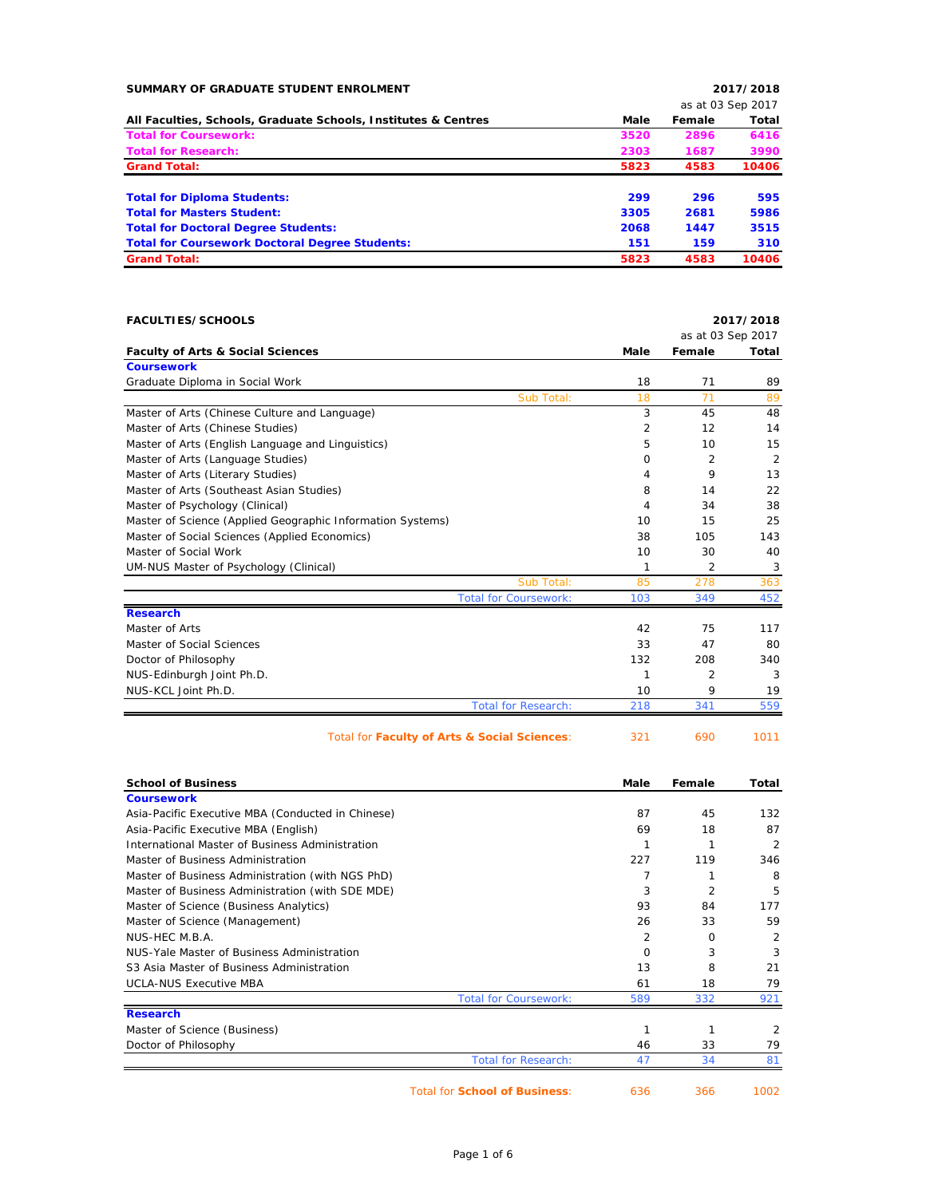| SUMMARY OF GRADUATE STUDENT ENROLMENT                          |      |        | 2017/2018         |
|----------------------------------------------------------------|------|--------|-------------------|
|                                                                |      |        | as at 03 Sep 2017 |
| All Faculties, Schools, Graduate Schools, Institutes & Centres | Male | Female | Total             |
| <b>Total for Coursework:</b>                                   | 3520 | 2896   | 6416              |
| <b>Total for Research:</b>                                     | 2303 | 1687   | 3990              |
| <b>Grand Total:</b>                                            | 5823 | 4583   | 10406             |
| <b>Total for Diploma Students:</b>                             | 299  | 296    | 595               |
| <b>Total for Masters Student:</b>                              | 3305 | 2681   | 5986              |
| <b>Total for Doctoral Degree Students:</b>                     | 2068 | 1447   | 3515              |
| <b>Total for Coursework Doctoral Degree Students:</b>          | 151  | 159    | 310               |
| <b>Grand Total:</b>                                            | 5823 | 4583   | 10406             |
|                                                                |      |        |                   |

| <b>FACULTIES/SCHOOLS</b>                                   |             |        | 2017/2018         |
|------------------------------------------------------------|-------------|--------|-------------------|
|                                                            |             |        | as at 03 Sep 2017 |
| <b>Faculty of Arts &amp; Social Sciences</b>               | <b>Male</b> | Female | Total             |
| <b>Coursework</b>                                          |             |        |                   |
| Graduate Diploma in Social Work                            | 18          | 71     | 89                |
| Sub Total:                                                 | 18          | 71     | 89                |
| Master of Arts (Chinese Culture and Language)              | 3           | 45     | 48                |
| Master of Arts (Chinese Studies)                           | 2           | 12     | 14                |
| Master of Arts (English Language and Linguistics)          | 5           | 10     | 15                |
| Master of Arts (Language Studies)                          | $\Omega$    | 2      | $\overline{2}$    |
| Master of Arts (Literary Studies)                          | 4           | 9      | 13                |
| Master of Arts (Southeast Asian Studies)                   | 8           | 14     | 22                |
| Master of Psychology (Clinical)                            | 4           | 34     | 38                |
| Master of Science (Applied Geographic Information Systems) | 10          | 15     | 25                |
| Master of Social Sciences (Applied Economics)              | 38          | 105    | 143               |
| Master of Social Work                                      | 10          | 30     | 40                |
| UM-NUS Master of Psychology (Clinical)                     | 1           | 2      | 3                 |
| Sub Total:                                                 | 85          | 278    | 363               |
| <b>Total for Coursework:</b>                               | 103         | 349    | 452               |
| <b>Research</b>                                            |             |        |                   |
| Master of Arts                                             | 42          | 75     | 117               |
| Master of Social Sciences                                  | 33          | 47     | 80                |
| Doctor of Philosophy                                       | 132         | 208    | 340               |
| NUS-Edinburgh Joint Ph.D.                                  | 1           | 2      | 3                 |
| NUS-KCL Joint Ph.D.                                        | 10          | 9      | 19                |
| <b>Total for Research:</b>                                 | 218         | 341    | 559               |
| Total for Faculty of Arts & Social Sciences:               | 321         | 690    | 1011              |

| <b>School of Business</b>                         | Male                                | Female        | Total          |
|---------------------------------------------------|-------------------------------------|---------------|----------------|
| <b>Coursework</b>                                 |                                     |               |                |
| Asia-Pacific Executive MBA (Conducted in Chinese) | 87                                  | 45            | 132            |
| Asia-Pacific Executive MBA (English)              | 69                                  | 18            | 87             |
| International Master of Business Administration   |                                     |               | $\overline{2}$ |
| Master of Business Administration                 | 227                                 | 119           | 346            |
| Master of Business Administration (with NGS PhD)  |                                     |               | 8              |
| Master of Business Administration (with SDE MDE)  |                                     | 3<br>2        | 5              |
| Master of Science (Business Analytics)            | 93                                  | 84            | 177            |
| Master of Science (Management)                    | 26                                  | 33            | 59             |
| NUS-HEC M.B.A.                                    |                                     | 2<br>$\Omega$ | $\overline{2}$ |
| NUS-Yale Master of Business Administration        |                                     | 3<br>$\Omega$ | 3              |
| S3 Asia Master of Business Administration         | 13                                  | 8             | 21             |
| <b>UCLA-NUS Executive MBA</b>                     | 61                                  | 18            | 79             |
|                                                   | <b>Total for Coursework:</b><br>589 | 332           | 921            |
| <b>Research</b>                                   |                                     |               |                |
| Master of Science (Business)                      |                                     | 1<br>1        | 2              |
| Doctor of Philosophy                              | 46                                  | 33            | 79             |
|                                                   | <b>Total for Research:</b><br>47    | 34            | 81             |

Total for **School of Business**: 636 366 1002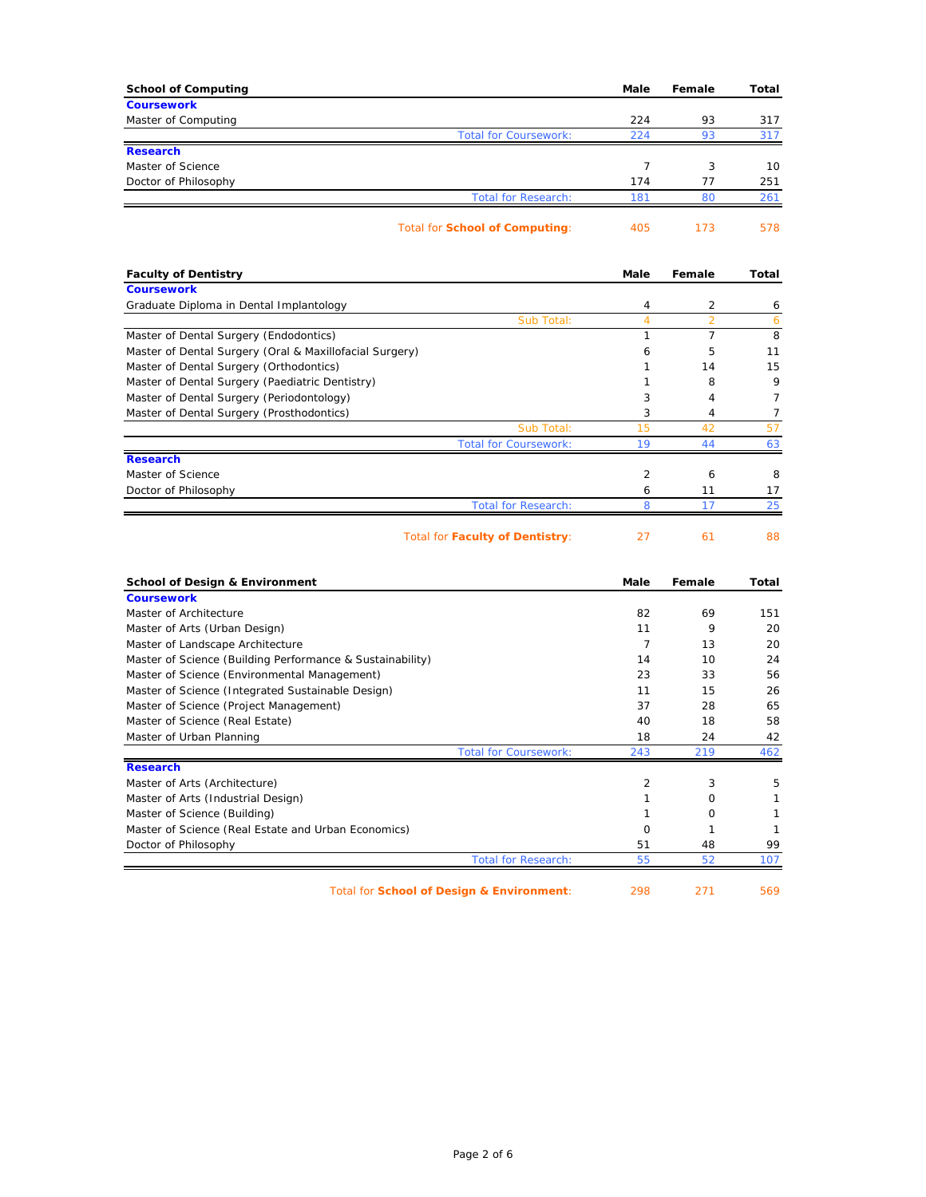| <b>School of Computing</b>                                                                  | Male                | Female    | Total                   |
|---------------------------------------------------------------------------------------------|---------------------|-----------|-------------------------|
| <b>Coursework</b>                                                                           | 224                 | 93        |                         |
| Master of Computing<br><b>Total for Coursework:</b>                                         | 224                 | 93        | 317<br>317              |
| <b>Research</b>                                                                             |                     |           |                         |
| Master of Science                                                                           | 7                   | 3         | 10                      |
| Doctor of Philosophy                                                                        | 174                 | 77        | 251                     |
| <b>Total for Research:</b>                                                                  | 181                 | 80        | 261                     |
| <b>Total for School of Computing:</b>                                                       | 405                 | 173       | 578                     |
| <b>Faculty of Dentistry</b>                                                                 | Male                | Female    | Total                   |
| <b>Coursework</b>                                                                           |                     |           |                         |
| Graduate Diploma in Dental Implantology<br>Sub Total:                                       | 4<br>$\overline{4}$ | 2<br>2    | 6<br>6                  |
| Master of Dental Surgery (Endodontics)                                                      | $\mathbf{1}$        | 7         | 8                       |
| Master of Dental Surgery (Oral & Maxillofacial Surgery)                                     | 6                   | 5         | 11                      |
| Master of Dental Surgery (Orthodontics)                                                     | 1                   | 14        | 15                      |
| Master of Dental Surgery (Paediatric Dentistry)                                             | 1                   | 8         | 9                       |
| Master of Dental Surgery (Periodontology)                                                   | 3                   | 4         | 7                       |
| Master of Dental Surgery (Prosthodontics)                                                   | 3                   | 4         | 7                       |
| Sub Total:                                                                                  | 15                  | 42        | 57                      |
| <b>Total for Coursework:</b>                                                                | 19                  | 44        | 63                      |
| <b>Research</b>                                                                             |                     |           |                         |
| Master of Science                                                                           | 2                   | 6         | 8                       |
| Doctor of Philosophy                                                                        | 6                   | 11        | 17                      |
| <b>Total for Research:</b>                                                                  | 8                   | 17        | 25                      |
| <b>Total for Faculty of Dentistry:</b>                                                      | 27                  | 61        | 88                      |
| <b>School of Design &amp; Environment</b>                                                   | Male                | Female    | Total                   |
| <b>Coursework</b>                                                                           |                     |           |                         |
| Master of Architecture                                                                      | 82                  | 69        | 151                     |
| Master of Arts (Urban Design)                                                               | 11                  | 9         | 20                      |
| Master of Landscape Architecture                                                            | 7                   | 13        | 20                      |
| Master of Science (Building Performance & Sustainability)                                   | 14                  | 10        | 24                      |
| Master of Science (Environmental Management)                                                | 23                  | 33<br>15  | 56                      |
| Master of Science (Integrated Sustainable Design)<br>Master of Science (Project Management) | 11<br>37            | 28        | 26<br>65                |
|                                                                                             | 40                  | 18        | 58                      |
|                                                                                             |                     |           | 42                      |
| Master of Science (Real Estate)                                                             |                     |           |                         |
| Master of Urban Planning<br><b>Total for Coursework</b>                                     | 18<br>243           | 24<br>219 |                         |
| <b>Research</b>                                                                             |                     |           |                         |
| Master of Arts (Architecture)                                                               | $\overline{2}$      | 3         |                         |
| Master of Arts (Industrial Design)                                                          | $\mathbf{1}$        | 0         |                         |
| Master of Science (Building)                                                                | $\mathbf{1}$        | 0         |                         |
| Master of Science (Real Estate and Urban Economics)                                         | 0                   | 1         | 462<br>5<br>1<br>1<br>1 |
| Doctor of Philosophy                                                                        | 51                  | 48        | 99                      |

Total for **School of Design & Environment**: 298 271 569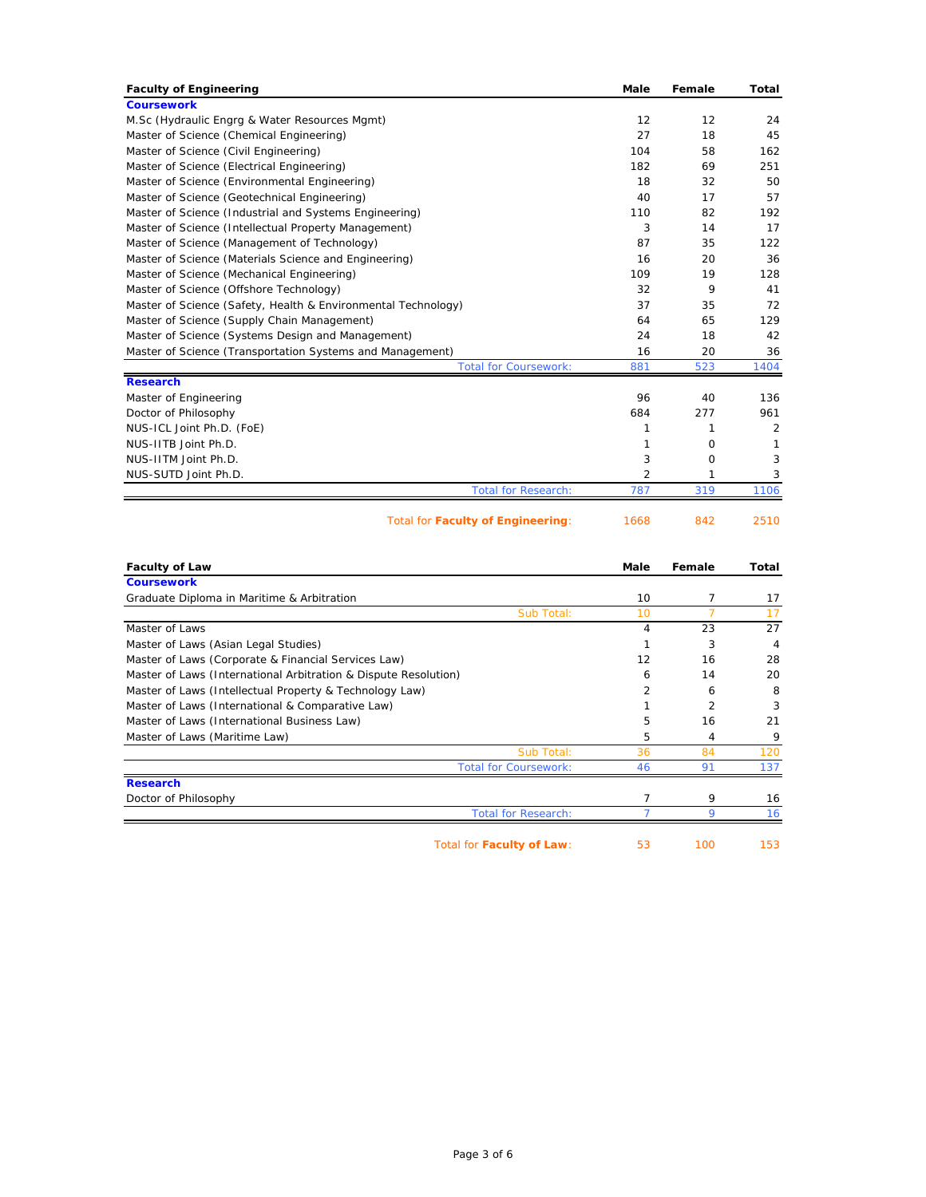| <b>Faculty of Engineering</b>                                 | <b>Male</b> | Female         | Total          |
|---------------------------------------------------------------|-------------|----------------|----------------|
| <b>Coursework</b>                                             |             |                |                |
| M.Sc (Hydraulic Engrg & Water Resources Mgmt)                 | 12          | 12             | 24             |
| Master of Science (Chemical Engineering)                      | 27          | 18             | 45             |
| Master of Science (Civil Engineering)                         | 104         | 58             | 162            |
| Master of Science (Electrical Engineering)                    | 182         | 69             | 251            |
| Master of Science (Environmental Engineering)                 | 18          | 32             | 50             |
| Master of Science (Geotechnical Engineering)                  | 40          | 17             | 57             |
| Master of Science (Industrial and Systems Engineering)        | 110         | 82             | 192            |
| Master of Science (Intellectual Property Management)          | 3           | 14             | 17             |
| Master of Science (Management of Technology)                  | 87          | 35             | 122            |
| Master of Science (Materials Science and Engineering)         | 16          | 20             | 36             |
| Master of Science (Mechanical Engineering)                    | 109         | 19             | 128            |
| Master of Science (Offshore Technology)                       | 32          | 9              | 41             |
| Master of Science (Safety, Health & Environmental Technology) | 37          | 35             | 72             |
| Master of Science (Supply Chain Management)                   | 64          | 65             | 129            |
| Master of Science (Systems Design and Management)             | 24          | 18             | 42             |
| Master of Science (Transportation Systems and Management)     | 16          | 20             | 36             |
| <b>Total for Coursework:</b>                                  | 881         | 523            | 1404           |
| <b>Research</b>                                               |             |                |                |
| Master of Engineering                                         | 96          | 40             | 136            |
| Doctor of Philosophy                                          | 684         | 277            | 961            |
| NUS-ICL Joint Ph.D. (FoE)                                     | 1           | 1              | $\overline{2}$ |
| NUS-IITB Joint Ph.D.                                          | 1           | 0              | 1              |
| NUS-IITM Joint Ph.D.                                          | 3           | 0              | 3              |
| NUS-SUTD Joint Ph.D.                                          | 2           | 1              | 3              |
| <b>Total for Research:</b>                                    | 787         | 319            | 1106           |
| Total for Faculty of Engineering:                             | 1668        | 842            | 2510           |
|                                                               |             |                |                |
| <b>Faculty of Law</b>                                         | Male        | Female         | Total          |
| <b>Coursework</b>                                             |             |                |                |
| Graduate Diploma in Maritime & Arbitration                    | 10          | 7              | 17             |
| Sub Total:                                                    | 10          | $\overline{7}$ | 17             |
| Master of Laws                                                | 4           | 23             | 27             |
| Master of Laws (Asian Legal Studies)                          | 1           | 3              | 4              |

Master of Laws (Corporate & Financial Services Law) 12 16 28 Master of Laws (International Arbitration & Dispute Resolution) 6 14 20 Master of Laws (Intellectual Property & Technology Law) 2 6 8 8 Master of Laws (International & Comparative Law) 1 2 3 3 Master of Laws (International Business Law) 16 16 16 16 16 17 18 17 18 18 19 19 19 19 19 19 19 19 10 11 11 12 Master of Laws (Maritime Law) 3499 Master of Laws (Maritime Law)

Doctor of Philosophy 7 9 16

**Research**

| Total for Faculty of Law: | 100 | 153 |
|---------------------------|-----|-----|
|                           |     |     |

Sub Total: 36 84 120

Total for Coursework: 46 91 137

Total for Research: 7 9 16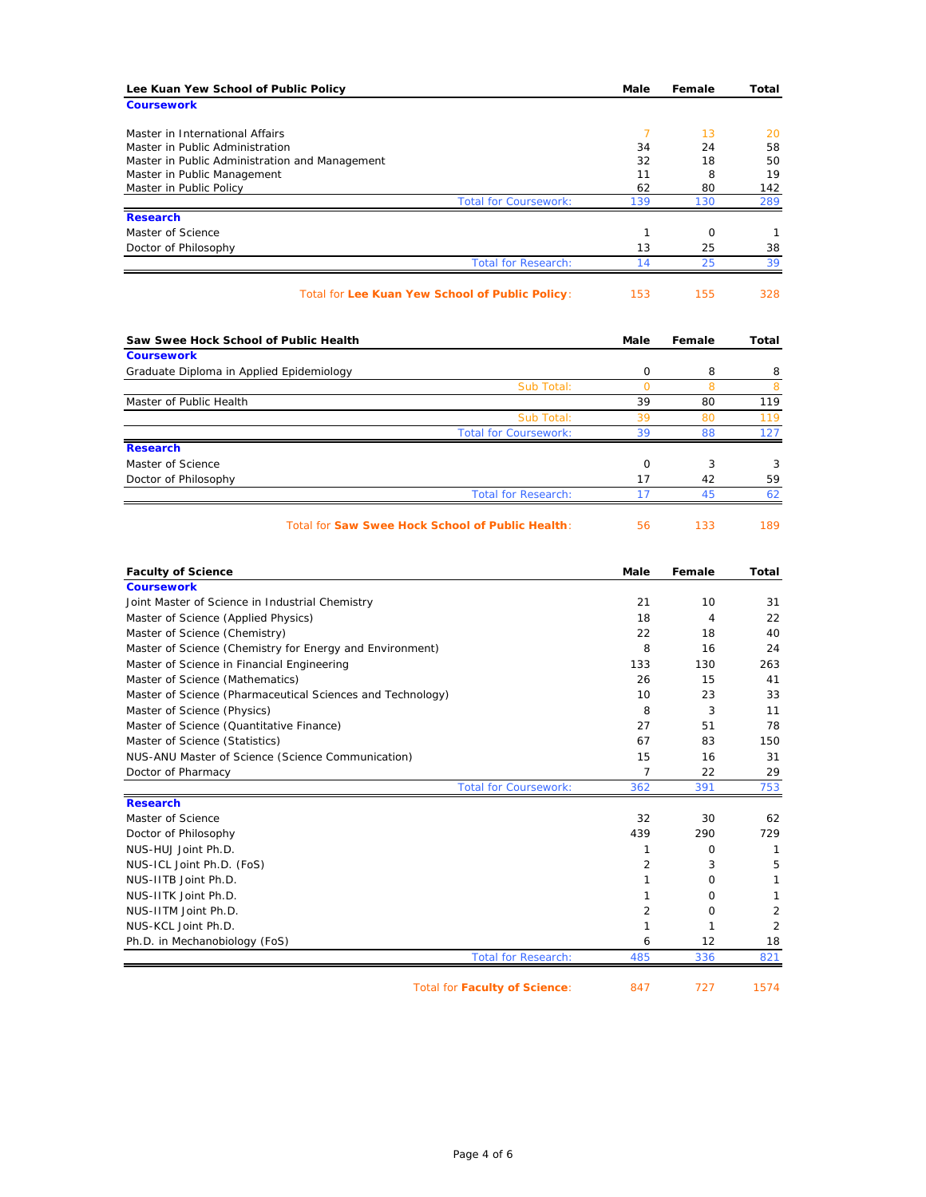| Lee Kuan Yew School of Public Policy                               | Male          | Female    | Total          |
|--------------------------------------------------------------------|---------------|-----------|----------------|
| <b>Coursework</b>                                                  |               |           |                |
|                                                                    |               |           |                |
| Master in International Affairs<br>Master in Public Administration | 7<br>34       | 13<br>24  | 20<br>58       |
| Master in Public Administration and Management                     | 32            | 18        | 50             |
| Master in Public Management                                        | 11            | 8         | 19             |
| Master in Public Policy                                            | 62            | 80        | 142            |
| <b>Total for Coursework:</b>                                       | 139           | 130       | 289            |
| <b>Research</b>                                                    |               |           |                |
| Master of Science                                                  | 1             | 0         | 1              |
| Doctor of Philosophy                                               | 13            | 25        | 38             |
| <b>Total for Research:</b>                                         | 14            | 25        | 39             |
| Total for Lee Kuan Yew School of Public Policy:                    | 153           | 155       | 328            |
| Saw Swee Hock School of Public Health                              | Male          | Female    | Total          |
| <b>Coursework</b>                                                  |               |           |                |
| Graduate Diploma in Applied Epidemiology                           | 0             | 8         | 8              |
| Sub Total:<br>Master of Public Health                              | $\circ$<br>39 | 8<br>80   | 8<br>119       |
|                                                                    | 39            | 80        |                |
| Sub Total:<br><b>Total for Coursework:</b>                         | 39            | 88        | 119<br>127     |
| <b>Research</b>                                                    |               |           |                |
| Master of Science                                                  | 0             | 3         | 3              |
| Doctor of Philosophy                                               | 17            | 42        | 59             |
| <b>Total for Research:</b>                                         | 17            | 45        | 62             |
| <b>Total for Saw Swee Hock School of Public Health:</b>            | 56            | 133       | 189            |
| <b>Faculty of Science</b>                                          | Male          | Female    | Total          |
| <b>Coursework</b>                                                  |               |           |                |
| Joint Master of Science in Industrial Chemistry                    | 21            | 10        | 31             |
| Master of Science (Applied Physics)                                | 18            | 4         | 22             |
| Master of Science (Chemistry)                                      | 22            | 18        | 40             |
| Master of Science (Chemistry for Energy and Environment)           | 8             | 16        | 24             |
| Master of Science in Financial Engineering                         | 133           | 130       | 263            |
| Master of Science (Mathematics)                                    | 26            | 15        | 41             |
| Master of Science (Pharmaceutical Sciences and Technology)         | 10            | 23        | 33             |
| Master of Science (Physics)                                        | 8             | 3         | 11             |
| Master of Science (Quantitative Finance)                           | 27            | 51        | 78             |
| Master of Science (Statistics)                                     | 67            | 83        | 150            |
| NUS-ANU Master of Science (Science Communication)                  | 15            | 16        | 31             |
| Doctor of Pharmacy                                                 | 7             | 22        | 29             |
| <b>Total for Coursework:</b>                                       | 362           | 391       | 753            |
| <b>Research</b><br>Master of Science                               |               |           |                |
|                                                                    | 32<br>439     | 30<br>290 | 62             |
| Doctor of Philosophy<br>NUS-HUJ Joint Ph.D.                        | 1             | 0         | 729<br>1       |
| NUS-ICL Joint Ph.D. (FoS)                                          | 2             | 3         | 5              |
| NUS-IITB Joint Ph.D.                                               | $\mathbf{1}$  | 0         | 1              |
| NUS-IITK Joint Ph.D.                                               | 1             | 0         | $\mathbf{1}$   |
| NUS-IITM Joint Ph.D.                                               | 2             | 0         | $\overline{2}$ |
| NUS-KCL Joint Ph.D.                                                | 1             | 1         | $\overline{2}$ |
| Ph.D. in Mechanobiology (FoS)                                      | 6             | 12        | 18             |
| <b>Total for Research:</b>                                         | 485           | 336       | 821            |
|                                                                    |               |           |                |
|                                                                    |               |           |                |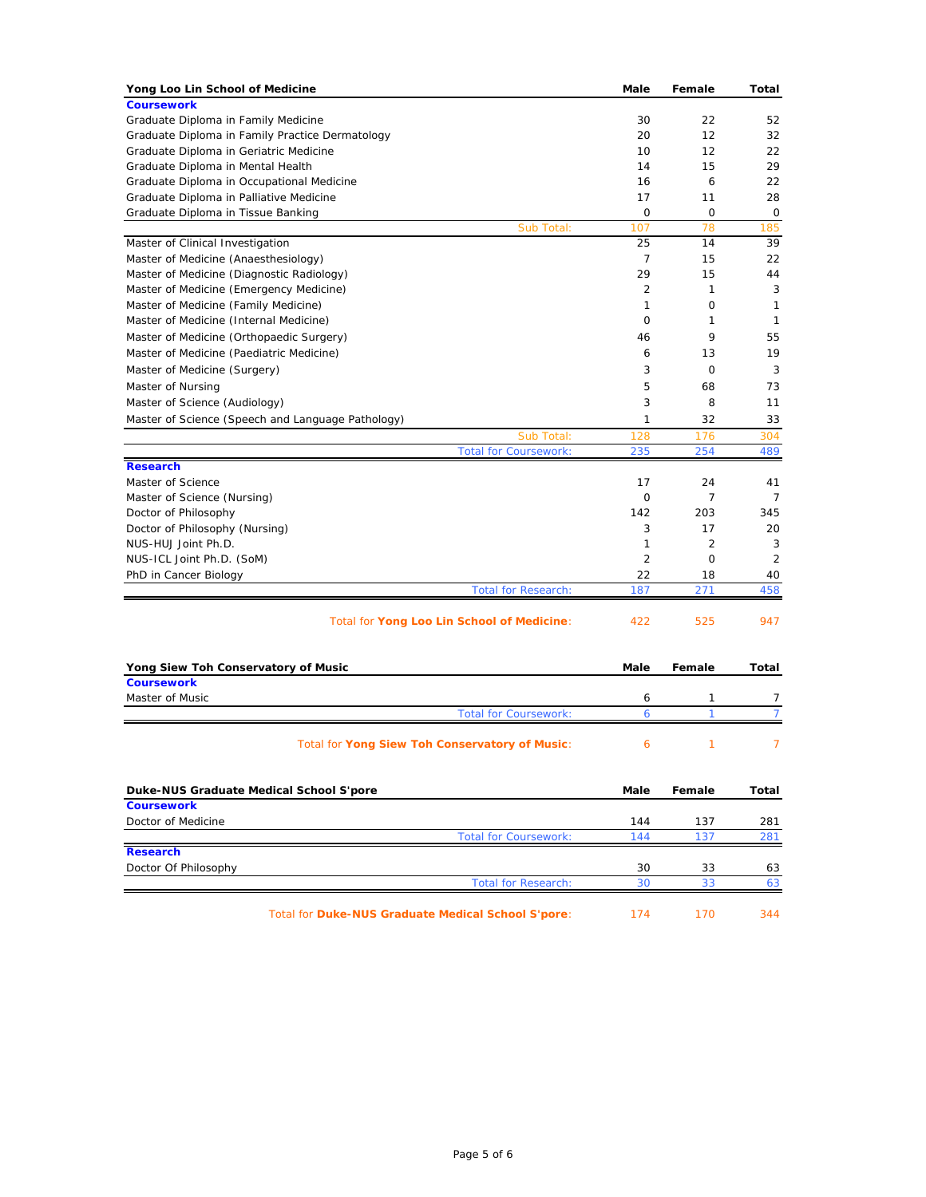| Yong Loo Lin School of Medicine                                                | Male           | Female  | Total          |
|--------------------------------------------------------------------------------|----------------|---------|----------------|
| <b>Coursework</b>                                                              |                |         |                |
| Graduate Diploma in Family Medicine                                            | 30             | 22      | 52             |
| Graduate Diploma in Family Practice Dermatology                                | 20             | 12      | 32             |
| Graduate Diploma in Geriatric Medicine                                         | 10             | 12      | 22             |
| Graduate Diploma in Mental Health                                              | 14             | 15      | 29             |
| Graduate Diploma in Occupational Medicine                                      | 16             | 6       | 22             |
| Graduate Diploma in Palliative Medicine                                        | 17             | 11      | 28             |
| Graduate Diploma in Tissue Banking                                             | 0              | 0       | 0              |
| Sub Total:                                                                     | 107            | 78      | 185            |
| Master of Clinical Investigation                                               | 25             | 14      | 39             |
| Master of Medicine (Anaesthesiology)                                           | 7              | 15      | 22             |
| Master of Medicine (Diagnostic Radiology)                                      | 29<br>2        | 15      | 44             |
| Master of Medicine (Emergency Medicine)                                        | 1              | 1<br>0  | 3<br>1         |
| Master of Medicine (Family Medicine)<br>Master of Medicine (Internal Medicine) | 0              | 1       | 1              |
|                                                                                |                | 9       |                |
| Master of Medicine (Orthopaedic Surgery)                                       | 46             |         | 55             |
| Master of Medicine (Paediatric Medicine)                                       | 6              | 13      | 19             |
| Master of Medicine (Surgery)                                                   | 3              | 0       | 3              |
| Master of Nursing                                                              | 5              | 68      | 73             |
| Master of Science (Audiology)                                                  | 3              | 8       | 11             |
| Master of Science (Speech and Language Pathology)                              | 1              | 32      | 33             |
| Sub Total:                                                                     | 128            | 176     | 304            |
| <b>Total for Coursework:</b>                                                   | 235            | 254     | 489            |
| <b>Research</b>                                                                |                |         |                |
| Master of Science<br>Master of Science (Nursing)                               | 17<br>0        | 24<br>7 | 41<br>7        |
| Doctor of Philosophy                                                           | 142            | 203     | 345            |
| Doctor of Philosophy (Nursing)                                                 | 3              | 17      | 20             |
| NUS-HUJ Joint Ph.D.                                                            | 1              | 2       | 3              |
| NUS-ICL Joint Ph.D. (SoM)                                                      | $\overline{2}$ | 0       | $\overline{2}$ |
| PhD in Cancer Biology                                                          | 22             | 18      | 40             |
| <b>Total for Research:</b>                                                     | 187            | 271     | 458            |
| Total for Yong Loo Lin School of Medicine:                                     | 422            | 525     | 947            |
|                                                                                |                |         |                |
| Yong Siew Toh Conservatory of Music                                            | Male           | Female  | Total          |
| <b>Coursework</b>                                                              |                |         |                |
| Master of Music                                                                | 6              | 1       | 7              |
| <b>Total for Coursework:</b>                                                   | 6              | 1       | $\overline{7}$ |
|                                                                                |                |         |                |
| Total for Yong Siew Toh Conservatory of Music:                                 | 6              | 1       | 7              |
| Duke-NUS Graduate Medical School S'pore                                        | Male           | Female  | Total          |
| <b>Coursework</b>                                                              |                |         |                |
| Doctor of Medicine                                                             | 144            | 137     | 281            |
| <b>Total for Coursework:</b>                                                   | 144            | 137     | 281            |
| <b>Research</b>                                                                |                |         |                |
| Doctor Of Philosophy                                                           | 30             | 33      | 63             |
| <b>Total for Research:</b>                                                     | 30             | 33      | 63             |
|                                                                                |                |         |                |
| Total for Duke-NUS Graduate Medical School S'pore:                             | 174            | 170     | 344            |